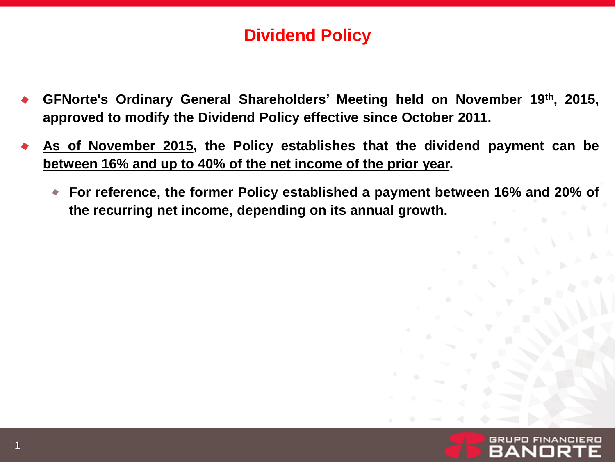## **Dividend Policy**

- **GFNorte's Ordinary General Shareholders' Meeting held on November 19th , 2015, approved to modify the Dividend Policy effective since October 2011.**
- **As of November 2015, the Policy establishes that the dividend payment can be between 16% and up to 40% of the net income of the prior year.**
	- **For reference, the former Policy established a payment between 16% and 20% of the recurring net income, depending on its annual growth.**